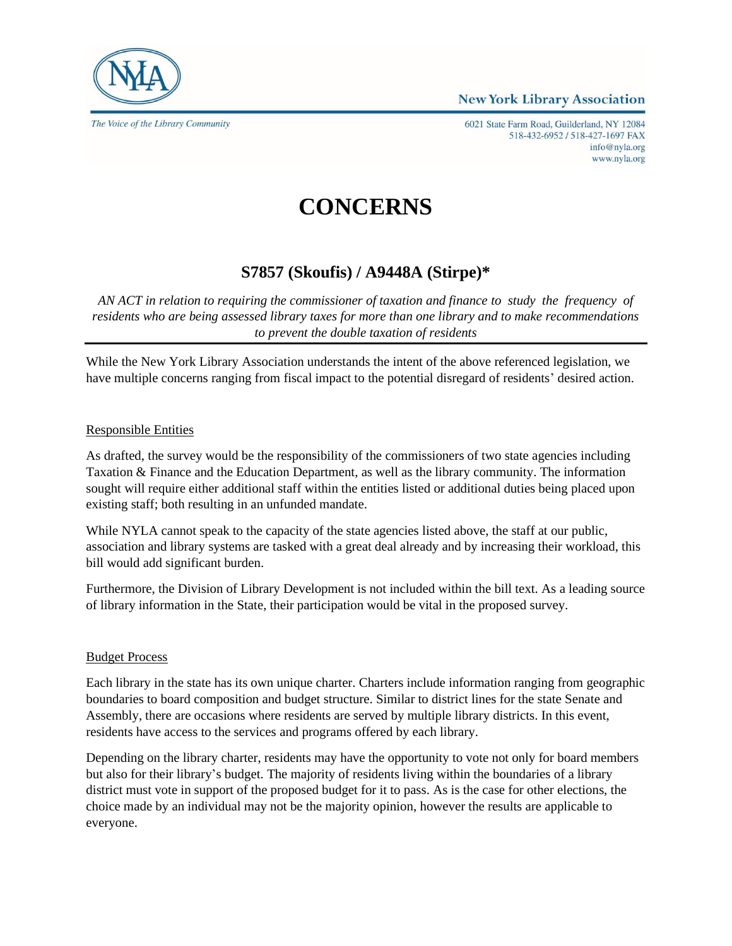



The Voice of the Library Community

6021 State Farm Road, Guilderland, NY 12084 518-432-6952 / 518-427-1697 FAX info@nyla.org www.nyla.org

# **CONCERNS**

## **S7857 (Skoufis) / A9448A (Stirpe)\***

*AN ACT in relation to requiring the commissioner of taxation and finance to study the frequency of residents who are being assessed library taxes for more than one library and to make recommendations to prevent the double taxation of residents*

While the New York Library Association understands the intent of the above referenced legislation, we have multiple concerns ranging from fiscal impact to the potential disregard of residents' desired action.

### Responsible Entities

As drafted, the survey would be the responsibility of the commissioners of two state agencies including Taxation & Finance and the Education Department, as well as the library community. The information sought will require either additional staff within the entities listed or additional duties being placed upon existing staff; both resulting in an unfunded mandate.

While NYLA cannot speak to the capacity of the state agencies listed above, the staff at our public, association and library systems are tasked with a great deal already and by increasing their workload, this bill would add significant burden.

Furthermore, the Division of Library Development is not included within the bill text. As a leading source of library information in the State, their participation would be vital in the proposed survey.

#### Budget Process

Each library in the state has its own unique charter. Charters include information ranging from geographic boundaries to board composition and budget structure. Similar to district lines for the state Senate and Assembly, there are occasions where residents are served by multiple library districts. In this event, residents have access to the services and programs offered by each library.

Depending on the library charter, residents may have the opportunity to vote not only for board members but also for their library's budget. The majority of residents living within the boundaries of a library district must vote in support of the proposed budget for it to pass. As is the case for other elections, the choice made by an individual may not be the majority opinion, however the results are applicable to everyone.